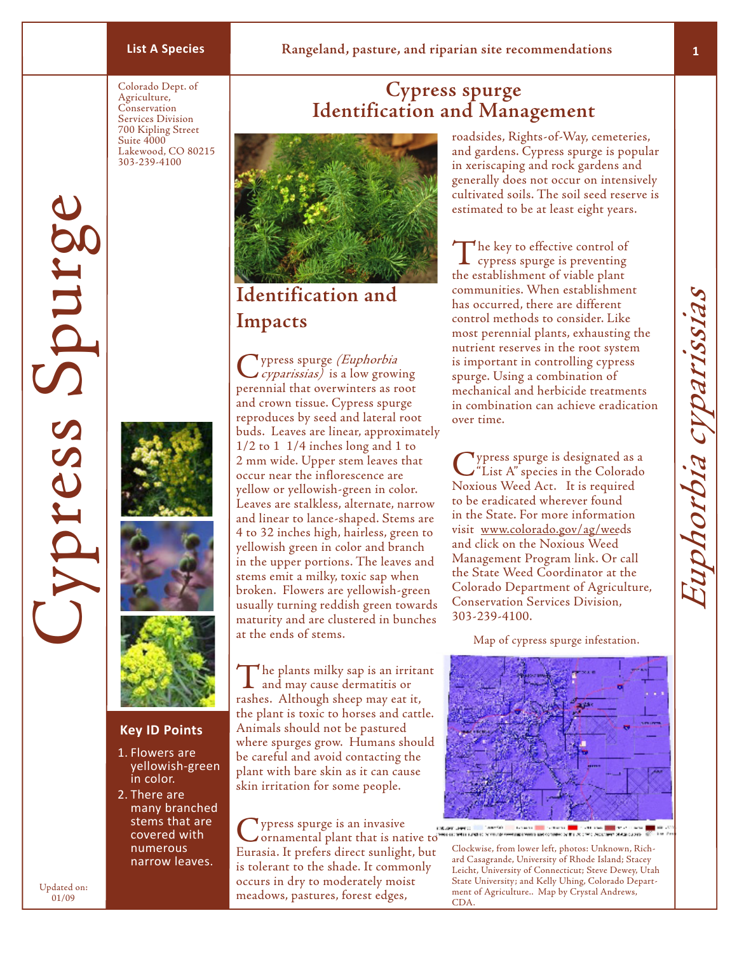# **List A Species Rangeland, pasture, and riparian site recommendations**

Colorado Dept. of Agriculture, Conservation Services Division 700 Kipling Street Suite 4000 Lakewood, CO 80215 303-239-4100









## **Key ID Points**

- 1. Flowers are yellowish-green in color.
- 2. There are many branched stems that are covered with numerous narrow leaves.

**Cypress spurge Identification and Management**



# **Identification and Impacts**

Cypress spurge (Euphorbia cyparissias) is a low growing perennial that overwinters as root and crown tissue. Cypress spurge reproduces by seed and lateral root buds. Leaves are linear, approximately 1/2 to 1 1/4 inches long and 1 to 2 mm wide. Upper stem leaves that occur near the inflorescence are yellow or yellowish-green in color. Leaves are stalkless, alternate, narrow and linear to lance-shaped. Stems are 4 to 32 inches high, hairless, green to yellowish green in color and branch in the upper portions. The leaves and stems emit a milky, toxic sap when broken. Flowers are yellowish-green usually turning reddish green towards maturity and are clustered in bunches at the ends of stems.

The plants milky sap is an irritant and may cause dermatitis or rashes. Although sheep may eat it, the plant is toxic to horses and cattle. Animals should not be pastured where spurges grow. Humans should be careful and avoid contacting the plant with bare skin as it can cause skin irritation for some people.

Cypress spurge is an invasive<br>
commental plant that is native to Eurasia. It prefers direct sunlight, but is tolerant to the shade. It commonly occurs in dry to moderately moist meadows, pastures, forest edges,

roadsides, Rights-of-Way, cemeteries, and gardens. Cypress spurge is popular in xeriscaping and rock gardens and generally does not occur on intensively cultivated soils. The soil seed reserve is estimated to be at least eight years.

The key to effective control of<br>cypress spurge is preventing the establishment of viable plant communities. When establishment has occurred, there are different control methods to consider. Like most perennial plants, exhausting the nutrient reserves in the root system is important in controlling cypress spurge. Using a combination of mechanical and herbicide treatments in combination can achieve eradication over time.

Cypress spurge is designated as a "List A" species in the Colorado Noxious Weed Act. It is required to be eradicated wherever found in the State. For more information visit www.colorado.gov/ag/weeds and click on the Noxious Weed Management Program link. Or call the State Weed Coordinator at the Colorado Department of Agriculture, Conservation Services Division, 303-239-4100.

Map of cypress spurge infestation.



Clockwise, from lower left, photos: Unknown, Richard Casagrande, University of Rhode Island; Stacey Leicht, University of Connecticut; Steve Dewey, Utah State University; and Kelly Uhing, Colorado Department of Agriculture.. Map by Crystal Andrews, CDA.